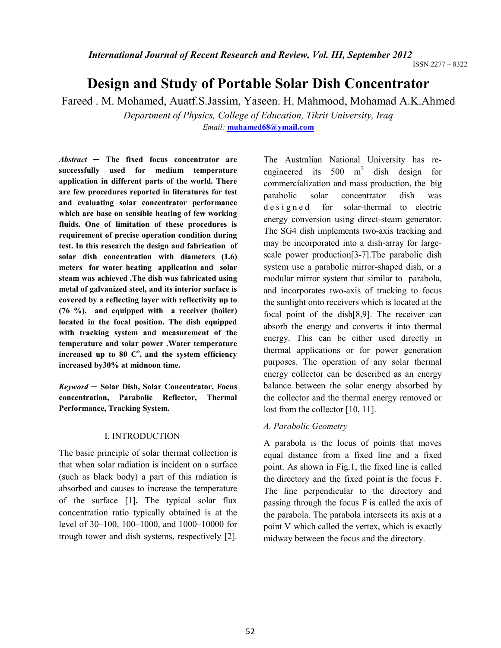ISSN 2277 – 8322

# **Design and Study of Portable Solar Dish Concentrator**

Fareed . M. Mohamed, Auatf.S.Jassim, Yaseen. H. Mahmood, Mohamad A.K.Ahmed *Department of Physics, College of Education, Tikrit University, Iraq* 

*Email:* **[muhamed68@ymail.com](mailto:muhamed68@ymail.com)**

*Abstract ─* **The fixed focus concentrator are successfully used for medium temperature application in different parts of the world. There are few procedures reported in literatures for test and evaluating solar concentrator performance which are base on sensible heating of few working fluids. One of limitation of these procedures is requirement of precise operation condition during test. In this research the design and fabrication of solar dish concentration with diameters (1.6) meters for water heating application and solar steam was achieved .The dish was fabricated using metal of galvanized steel, and its interior surface is covered by a reflecting layer with reflectivity up to (76 %), and equipped with a receiver (boiler) located in the focal position. The dish equipped with tracking system and measurement of the temperature and solar power .Water temperature increased up to 80 C<sup>o</sup> , and the system efficiency increased by30% at midnoon time.** 

*Keyword ─* **Solar Dish, Solar Concentrator, Focus concentration, Parabolic Reflector, Thermal Performance, Tracking System.** 

# I. INTRODUCTION

The basic principle of solar thermal collection is that when solar radiation is incident on a surface (such as black body) a part of this radiation is absorbed and causes to increase the temperature of the surface [1]**.** The typical solar flux concentration ratio typically obtained is at the level of 30–100, 100–1000, and 1000–10000 for trough tower and dish systems, respectively [2].

The Australian National University has reengineered its  $500 \text{ m}^2$ dish design for commercialization and mass production, the big parabolic solar concentrator dish was d e s i g n e d for solar-thermal to electric energy conversion using direct-steam generator. The SG4 dish implements two-axis tracking and may be incorporated into a dish-array for largescale power production[3-7].The parabolic dish system use a parabolic mirror-shaped dish, or a modular mirror system that similar to parabola, and incorporates two-axis of tracking to focus the sunlight onto receivers which is located at the focal point of the dish[8,9]. The receiver can absorb the energy and converts it into thermal energy. This can be either used directly in thermal applications or for power generation purposes. The operation of any solar thermal energy collector can be described as an energy balance between the solar energy absorbed by the collector and the thermal energy removed or lost from the collector [10, 11].

# *A. Parabolic Geometry*

A parabola is the locus of points that moves equal distance from a fixed line and a fixed point. As shown in Fig.1, the fixed line is called the directory and the fixed point is the focus F. The line perpendicular to the directory and passing through the focus F is called the axis of the parabola. The parabola intersects its axis at a point V which called the vertex, which is exactly midway between the focus and the directory.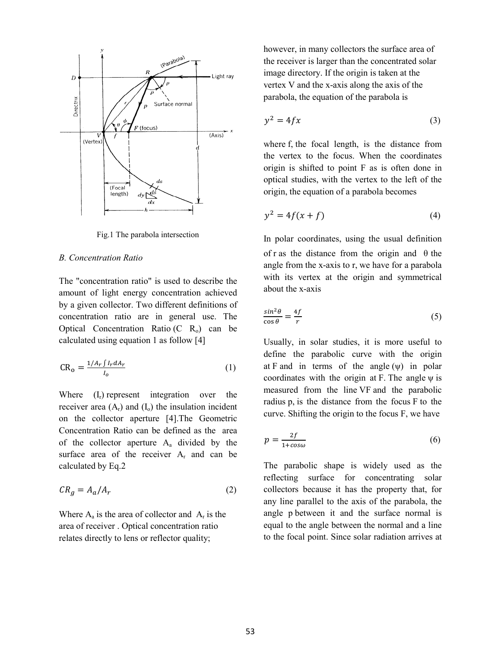

Fig.1 The parabola intersection

# *B. Concentration Ratio*

The "concentration ratio" is used to describe the amount of light energy concentration achieved by a given collector. Two different definitions of concentration ratio are in general use. The Optical Concentration Ratio (C  $R_0$ ) can be calculated using equation 1 as follow [4]

$$
CR_o = \frac{1/A_r \int I_r dA_r}{I_o} \tag{1}
$$

Where  $(I_r)$  represent integration over the receiver area  $(A_r)$  and  $(I_0)$  the insulation incident on the collector aperture [4].The Geometric Concentration Ratio can be defined as the area of the collector aperture  $A_a$  divided by the surface area of the receiver  $A_r$  and can be calculated by Eq.2

$$
CR_g = A_a / A_r \tag{2}
$$

Where  $A_a$  is the area of collector and  $A_r$  is the area of receiver . Optical concentration ratio relates directly to lens or reflector quality;

however, in many collectors the surface area of the receiver is larger than the concentrated solar image directory. If the origin is taken at the vertex V and the x-axis along the axis of the parabola, the equation of the parabola is

$$
y^2 = 4fx \tag{3}
$$

where f, the focal length, is the distance from the vertex to the focus. When the coordinates origin is shifted to point F as is often done in optical studies, with the vertex to the left of the origin, the equation of a parabola becomes

$$
y^2 = 4f(x+f) \tag{4}
$$

In polar coordinates, using the usual definition of r as the distance from the origin and  $\theta$  the angle from the x-axis to r, we have for a parabola with its vertex at the origin and symmetrical about the x-axis

$$
\frac{\sin^2 \theta}{\cos \theta} = \frac{4f}{r} \tag{5}
$$

Usually, in solar studies, it is more useful to define the parabolic curve with the origin at F and in terms of the angle  $(\psi)$  in polar coordinates with the origin at F. The angle  $\psi$  is measured from the line VF and the parabolic radius p, is the distance from the focus F to the curve. Shifting the origin to the focus F, we have

$$
p = \frac{2f}{1 + \cos \omega} \tag{6}
$$

The parabolic shape is widely used as the reflecting surface for concentrating solar collectors because it has the property that, for any line parallel to the axis of the parabola, the angle p between it and the surface normal is equal to the angle between the normal and a line to the focal point. Since solar radiation arrives at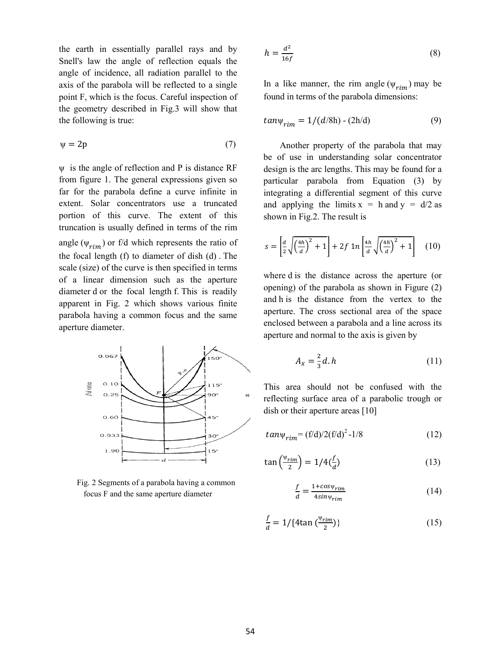the earth in essentially parallel rays and by Snell's law the angle of reflection equals the angle of incidence, all radiation parallel to the axis of the parabola will be reflected to a single point F, which is the focus. Careful inspection of the geometry described in Fig.3 will show that the following is true:

$$
\psi = 2p \tag{7}
$$

ψ is the angle of reflection and P is distance RF from figure 1. The general expressions given so far for the parabola define a curve infinite in extent. Solar concentrators use a truncated portion of this curve. The extent of this truncation is usually defined in terms of the rim angle ( $\psi_{rim}$ ) or f/d which represents the ratio of the focal length (f) to diameter of dish (d) . The scale (size) of the curve is then specified in terms of a linear dimension such as the aperture diameter d or the focal length f. This is readily apparent in Fig. 2 which shows various finite parabola having a common focus and the same aperture diameter.



Fig. 2 Segments of a parabola having a common focus F and the same aperture diameter

$$
h = \frac{d^2}{16f} \tag{8}
$$

In a like manner, the rim angle  $(\psi_{rim})$  may be found in terms of the parabola dimensions:

$$
tan\psi_{rim} = 1/(d/8h) - (2h/d)
$$
 (9)

Another property of the parabola that may be of use in understanding solar concentrator design is the arc lengths. This may be found for a particular parabola from Equation (3) by integrating a differential segment of this curve and applying the limits  $x = h$  and  $y = d/2$  as shown in Fig.2. The result is

$$
s = \left[\frac{d}{2}\sqrt{\left(\frac{4h}{d}\right)^2 + 1}\right] + 2f \ln\left[\frac{4h}{d}\sqrt{\left(\frac{4h}{d}\right)^2 + 1}\right] \quad (10)
$$

where d is the distance across the aperture (or opening) of the parabola as shown in Figure (2) and h is the distance from the vertex to the aperture. The cross sectional area of the space enclosed between a parabola and a line across its aperture and normal to the axis is given by

$$
A_x = \frac{2}{3}d \cdot h \tag{11}
$$

This area should not be confused with the reflecting surface area of a parabolic trough or dish or their aperture areas [10]

$$
tan \psi_{rim} = (f/d)/2(f/d)^2 - 1/8
$$
 (12)

$$
\tan\left(\frac{\Psi_{rim}}{2}\right) = 1/4\left(\frac{f}{d}\right) \tag{13}
$$

$$
\frac{f}{d} = \frac{1 + \cos \psi_{rim}}{4 \sin \psi_{rim}} \tag{14}
$$

$$
\frac{f}{a} = 1/\{4\tan\left(\frac{\Psi_{rim}}{2}\right)\}\tag{15}
$$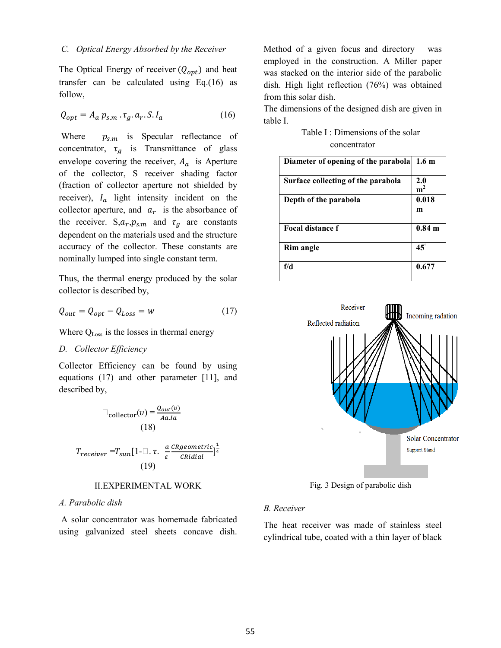## *C. Optical Energy Absorbed by the Receiver*

The Optical Energy of receiver  $(Q_{opt})$  and heat transfer can be calculated using Eq.(16) as follow,

$$
Q_{opt} = A_a p_{s.m} \cdot \tau_g \cdot a_r \cdot S \cdot I_a \tag{16}
$$

Where  $p_{s,m}$  is Specular reflectance of concentrator,  $\tau_a$  is Transmittance of glass envelope covering the receiver,  $A_a$  is Aperture of the collector, S receiver shading factor (fraction of collector aperture not shielded by receiver),  $I_a$  light intensity incident on the collector aperture, and  $a_r$  is the absorbance of the receiver.  $S, a_r, p_{s.m}$  and  $\tau_g$  are constants dependent on the materials used and the structure accuracy of the collector. These constants are nominally lumped into single constant term.

Thus, the thermal energy produced by the solar collector is described by,

$$
Q_{out} = Q_{opt} - Q_{Loss} = w \tag{17}
$$

Where Q<sub>Loss</sub> is the losses in thermal energy

## *D. Collector Efficiency*

Collector Efficiency can be found by using equations (17) and other parameter [11], and described by,

$$
\text{collector}(v) = \frac{Q_{out}(v)}{Aa.Ia}
$$
\n
$$
(18)
$$
\n
$$
T_{receiver} = T_{sun}[1 - \square \cdot \tau \cdot \frac{a}{\varepsilon} \frac{cRegeometric}{\text{CRidial}}]
$$
\n
$$
(19)
$$

#### II.EXPERIMENTAL WORK

#### *A. Parabolic dish*

 A solar concentrator was homemade fabricated using galvanized steel sheets concave dish. Method of a given focus and directory was employed in the construction. A Miller paper was stacked on the interior side of the parabolic dish. High light reflection (76%) was obtained from this solar dish.

The dimensions of the designed dish are given in table I.

Table I : Dimensions of the solar concentrator

| Diameter of opening of the parabola | 1.6 <sub>m</sub>   |
|-------------------------------------|--------------------|
| Surface collecting of the parabola  | 2.0<br>${\bf m}^2$ |
| Depth of the parabola               | 0.018<br>m         |
| Focal distance f                    | $0.84$ m           |
| <b>Rim angle</b>                    | $45^\circ$         |
| f/d                                 | 0.677              |



Fig. 3 Design of parabolic dish

# *B. Receiver*

The heat receiver was made of stainless steel cylindrical tube, coated with a thin layer of black

 $\frac{1}{4}$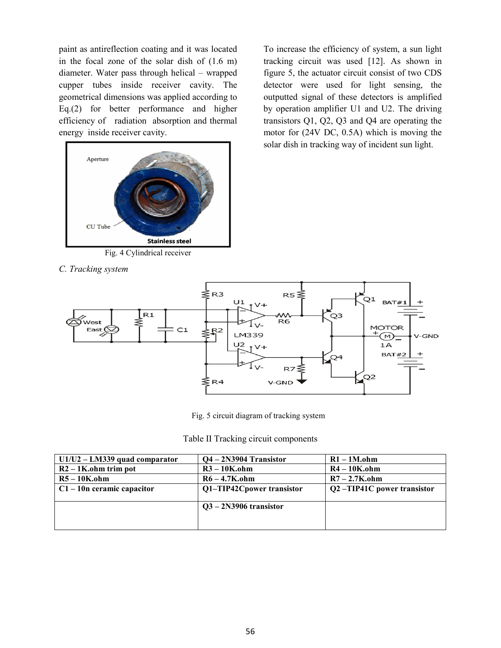paint as antireflection coating and it was located in the focal zone of the solar dish of (1.6 m) diameter. Water pass through helical – wrapped cupper tubes inside receiver cavity. The geometrical dimensions was applied according to Eq.(2) for better performance and higher efficiency of radiation absorption and thermal energy inside receiver cavity.



To increase the efficiency of system, a sun light tracking circuit was used [12]. As shown in figure 5, the actuator circuit consist of two CDS detector were used for light sensing, the outputted signal of these detectors is amplified by operation amplifier U1 and U2. The driving transistors Q1, Q2, Q3 and Q4 are operating the motor for (24V DC, 0.5A) which is moving the solar dish in tracking way of incident sun light.

*C. Tracking system*



Fig. 5 circuit diagram of tracking system

Table II Tracking circuit components

| $U1/U2 - LM339$ quad comparator | $Q4 - 2N3904$ Transistor  | $R1 - 1M_{\cdot}$ ohm      |
|---------------------------------|---------------------------|----------------------------|
| $R2 - 1$ K.ohm trim pot         | $R3 - 10K$ .ohm           | $R4 - 10K$ .ohm            |
| $R5 - 10K$ , ohm                | $R6 - 4.7K$ .ohm          | $R7 - 2.7K$ .ohm           |
| $C1 - 10n$ ceramic capacitor    | Q1-TIP42Cpower transistor | Q2-TIP41C power transistor |
|                                 |                           |                            |
|                                 | $Q3 - 2N3906$ transistor  |                            |
|                                 |                           |                            |
|                                 |                           |                            |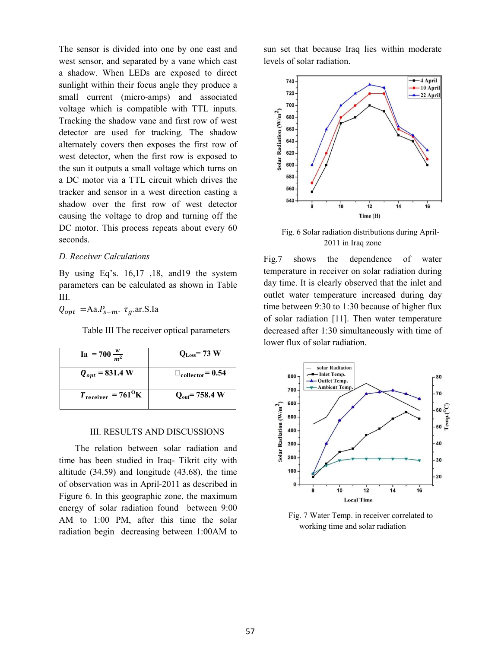The sensor is divided into one by one east and west sensor, and separated by a vane which cast a shadow. When LEDs are exposed to direct sunlight within their focus angle they produce a small current (micro-amps) and associated voltage which is compatible with TTL inputs. Tracking the shadow vane and first row of west detector are used for tracking. The shadow alternately covers then exposes the first row of west detector, when the first row is exposed to the sun it outputs a small voltage which turns on a DC motor via a TTL circuit which drives the tracker and sensor in a west direction casting a shadow over the first row of west detector causing the voltage to drop and turning off the DC motor. This process repeats about every 60 seconds.

## *D. Receiver Calculations*

By using Eq's. 16,17 ,18, and19 the system parameters can be calculated as shown in Table III.

 $Q_{opt}$  = Aa. $P_{s-m}$ .  $\tau_a$ .ar.S.Ia

Table III The receiver optical parameters

| $Ia = 700 \frac{w}{m^2}$                       | $Q_{L,osc} = 73$ W                 |
|------------------------------------------------|------------------------------------|
| $Q_{opt} = 831.4 W$                            | $\Box$ <sub>collector</sub> = 0.54 |
| $T_{\text{receiver}} = 761^{\text{O}}\text{K}$ | $Q_{out}$ = 758.4 W                |

#### III. RESULTS AND DISCUSSIONS

The relation between solar radiation and time has been studied in Iraq- Tikrit city with altitude (34.59) and longitude (43.68), the time of observation was in April-2011 as described in Figure 6. In this geographic zone, the maximum energy of solar radiation found between 9:00 AM to 1:00 PM, after this time the solar radiation begin decreasing between 1:00AM to sun set that because Iraq lies within moderate levels of solar radiation.



Fig. 6 Solar radiation distributions during April-2011 in Iraq zone

Fig.7 shows the dependence of water temperature in receiver on solar radiation during day time. It is clearly observed that the inlet and outlet water temperature increased during day time between 9:30 to 1:30 because of higher flux of solar radiation [11]. Then water temperature decreased after 1:30 simultaneously with time of lower flux of solar radiation.



Fig. 7 Water Temp. in receiver correlated to working time and solar radiation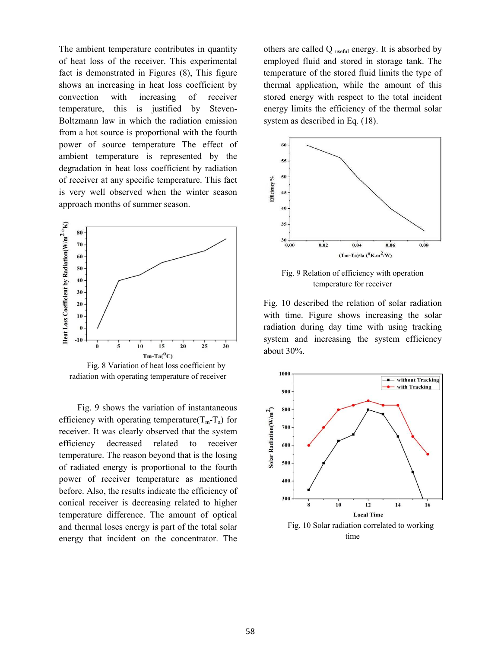The ambient temperature contributes in quantity of heat loss of the receiver. This experimental fact is demonstrated in Figures (8), This figure shows an increasing in heat loss coefficient by convection with increasing of receiver temperature, this is justified by Steven-Boltzmann law in which the radiation emission from a hot source is proportional with the fourth power of source temperature The effect of ambient temperature is represented by the degradation in heat loss coefficient by radiation of receiver at any specific temperature. This fact is very well observed when the winter season approach months of summer season.



radiation with operating temperature of receiver

 Fig. 9 shows the variation of instantaneous efficiency with operating temperature( $T_m - T_a$ ) for receiver. It was clearly observed that the system efficiency decreased related to receiver temperature. The reason beyond that is the losing of radiated energy is proportional to the fourth power of receiver temperature as mentioned before. Also, the results indicate the efficiency of conical receiver is decreasing related to higher temperature difference. The amount of optical and thermal loses energy is part of the total solar energy that incident on the concentrator. The others are called  $Q$  useful energy. It is absorbed by employed fluid and stored in storage tank. The temperature of the stored fluid limits the type of thermal application, while the amount of this stored energy with respect to the total incident energy limits the efficiency of the thermal solar system as described in Eq. (18).



Fig. 9 Relation of efficiency with operation temperature for receiver

Fig. 10 described the relation of solar radiation with time. Figure shows increasing the solar radiation during day time with using tracking system and increasing the system efficiency about 30%.